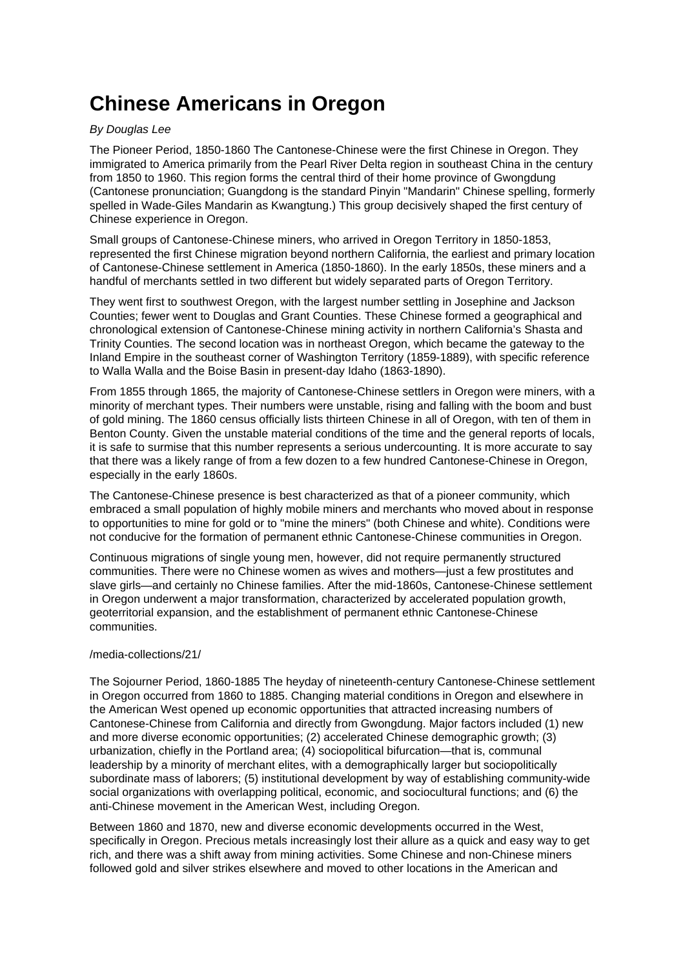# **Chinese Americans in Oregon**

### By Douglas Lee

The Pioneer Period, 1850-1860 The Cantonese-Chinese were the first Chinese in Oregon. They immigrated to America primarily from the Pearl River Delta region in southeast China in the century from 1850 to 1960. This region forms the central third of their home province of Gwongdung (Cantonese pronunciation; Guangdong is the standard Pinyin "Mandarin" Chinese spelling, formerly spelled in Wade-Giles Mandarin as Kwangtung.) This group decisively shaped the first century of Chinese experience in Oregon.

Small groups of Cantonese-Chinese miners, who arrived in Oregon Territory in 1850-1853, represented the first Chinese migration beyond northern California, the earliest and primary location of Cantonese-Chinese settlement in America (1850-1860). In the early 1850s, these miners and a handful of merchants settled in two different but widely separated parts of Oregon Territory.

They went first to southwest Oregon, with the largest number settling in Josephine and Jackson Counties; fewer went to Douglas and Grant Counties. These Chinese formed a geographical and chronological extension of Cantonese-Chinese mining activity in northern California's Shasta and Trinity Counties. The second location was in northeast Oregon, which became the gateway to the Inland Empire in the southeast corner of Washington Territory (1859-1889), with specific reference to Walla Walla and the Boise Basin in present-day Idaho (1863-1890).

From 1855 through 1865, the majority of Cantonese-Chinese settlers in Oregon were miners, with a minority of merchant types. Their numbers were unstable, rising and falling with the boom and bust of gold mining. The 1860 census officially lists thirteen Chinese in all of Oregon, with ten of them in Benton County. Given the unstable material conditions of the time and the general reports of locals, it is safe to surmise that this number represents a serious undercounting. It is more accurate to say that there was a likely range of from a few dozen to a few hundred Cantonese-Chinese in Oregon, especially in the early 1860s.

The Cantonese-Chinese presence is best characterized as that of a pioneer community, which embraced a small population of highly mobile miners and merchants who moved about in response to opportunities to mine for gold or to "mine the miners" (both Chinese and white). Conditions were not conducive for the formation of permanent ethnic Cantonese-Chinese communities in Oregon.

Continuous migrations of single young men, however, did not require permanently structured communities. There were no Chinese women as wives and mothers—just a few prostitutes and slave girls—and certainly no Chinese families. After the mid-1860s, Cantonese-Chinese settlement in Oregon underwent a major transformation, characterized by accelerated population growth, geoterritorial expansion, and the establishment of permanent ethnic Cantonese-Chinese communities.

#### /media-collections/21/

The Sojourner Period, 1860-1885 The heyday of nineteenth-century Cantonese-Chinese settlement in Oregon occurred from 1860 to 1885. Changing material conditions in Oregon and elsewhere in the American West opened up economic opportunities that attracted increasing numbers of Cantonese-Chinese from California and directly from Gwongdung. Major factors included (1) new and more diverse economic opportunities; (2) accelerated Chinese demographic growth; (3) urbanization, chiefly in the Portland area; (4) sociopolitical bifurcation—that is, communal leadership by a minority of merchant elites, with a demographically larger but sociopolitically subordinate mass of laborers; (5) institutional development by way of establishing community-wide social organizations with overlapping political, economic, and sociocultural functions; and (6) the anti-Chinese movement in the American West, including Oregon.

Between 1860 and 1870, new and diverse economic developments occurred in the West, specifically in Oregon. Precious metals increasingly lost their allure as a quick and easy way to get rich, and there was a shift away from mining activities. Some Chinese and non-Chinese miners followed gold and silver strikes elsewhere and moved to other locations in the American and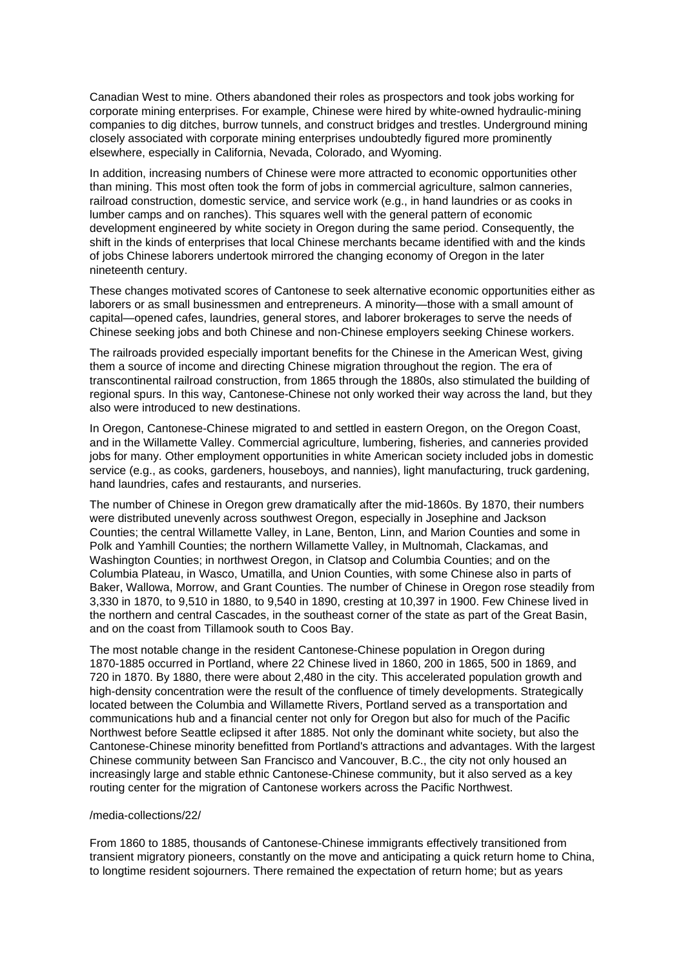Canadian West to mine. Others abandoned their roles as prospectors and took jobs working for corporate mining enterprises. For example, Chinese were hired by white-owned hydraulic-mining companies to dig ditches, burrow tunnels, and construct bridges and trestles. Underground mining closely associated with corporate mining enterprises undoubtedly figured more prominently elsewhere, especially in California, Nevada, Colorado, and Wyoming.

In addition, increasing numbers of Chinese were more attracted to economic opportunities other than mining. This most often took the form of jobs in commercial agriculture, salmon canneries, railroad construction, domestic service, and service work (e.g., in hand laundries or as cooks in lumber camps and on ranches). This squares well with the general pattern of economic development engineered by white society in Oregon during the same period. Consequently, the shift in the kinds of enterprises that local Chinese merchants became identified with and the kinds of jobs Chinese laborers undertook mirrored the changing economy of Oregon in the later nineteenth century.

These changes motivated scores of Cantonese to seek alternative economic opportunities either as laborers or as small businessmen and entrepreneurs. A minority—those with a small amount of capital—opened cafes, laundries, general stores, and laborer brokerages to serve the needs of Chinese seeking jobs and both Chinese and non-Chinese employers seeking Chinese workers.

The railroads provided especially important benefits for the Chinese in the American West, giving them a source of income and directing Chinese migration throughout the region. The era of transcontinental railroad construction, from 1865 through the 1880s, also stimulated the building of regional spurs. In this way, Cantonese-Chinese not only worked their way across the land, but they also were introduced to new destinations.

In Oregon, Cantonese-Chinese migrated to and settled in eastern Oregon, on the Oregon Coast, and in the Willamette Valley. Commercial agriculture, lumbering, fisheries, and canneries provided jobs for many. Other employment opportunities in white American society included jobs in domestic service (e.g., as cooks, gardeners, houseboys, and nannies), light manufacturing, truck gardening, hand laundries, cafes and restaurants, and nurseries.

The number of Chinese in Oregon grew dramatically after the mid-1860s. By 1870, their numbers were distributed unevenly across southwest Oregon, especially in Josephine and Jackson Counties; the central Willamette Valley, in Lane, Benton, Linn, and Marion Counties and some in Polk and Yamhill Counties; the northern Willamette Valley, in Multnomah, Clackamas, and Washington Counties; in northwest Oregon, in Clatsop and Columbia Counties; and on the Columbia Plateau, in Wasco, Umatilla, and Union Counties, with some Chinese also in parts of Baker, Wallowa, Morrow, and Grant Counties. The number of Chinese in Oregon rose steadily from 3,330 in 1870, to 9,510 in 1880, to 9,540 in 1890, cresting at 10,397 in 1900. Few Chinese lived in the northern and central Cascades, in the southeast corner of the state as part of the Great Basin, and on the coast from Tillamook south to Coos Bay.

The most notable change in the resident Cantonese-Chinese population in Oregon during 1870-1885 occurred in Portland, where 22 Chinese lived in 1860, 200 in 1865, 500 in 1869, and 720 in 1870. By 1880, there were about 2,480 in the city. This accelerated population growth and high-density concentration were the result of the confluence of timely developments. Strategically located between the Columbia and Willamette Rivers, Portland served as a transportation and communications hub and a financial center not only for Oregon but also for much of the Pacific Northwest before Seattle eclipsed it after 1885. Not only the dominant white society, but also the Cantonese-Chinese minority benefitted from Portland's attractions and advantages. With the largest Chinese community between San Francisco and Vancouver, B.C., the city not only housed an increasingly large and stable ethnic Cantonese-Chinese community, but it also served as a key routing center for the migration of Cantonese workers across the Pacific Northwest.

#### /media-collections/22/

From 1860 to 1885, thousands of Cantonese-Chinese immigrants effectively transitioned from transient migratory pioneers, constantly on the move and anticipating a quick return home to China, to longtime resident sojourners. There remained the expectation of return home; but as years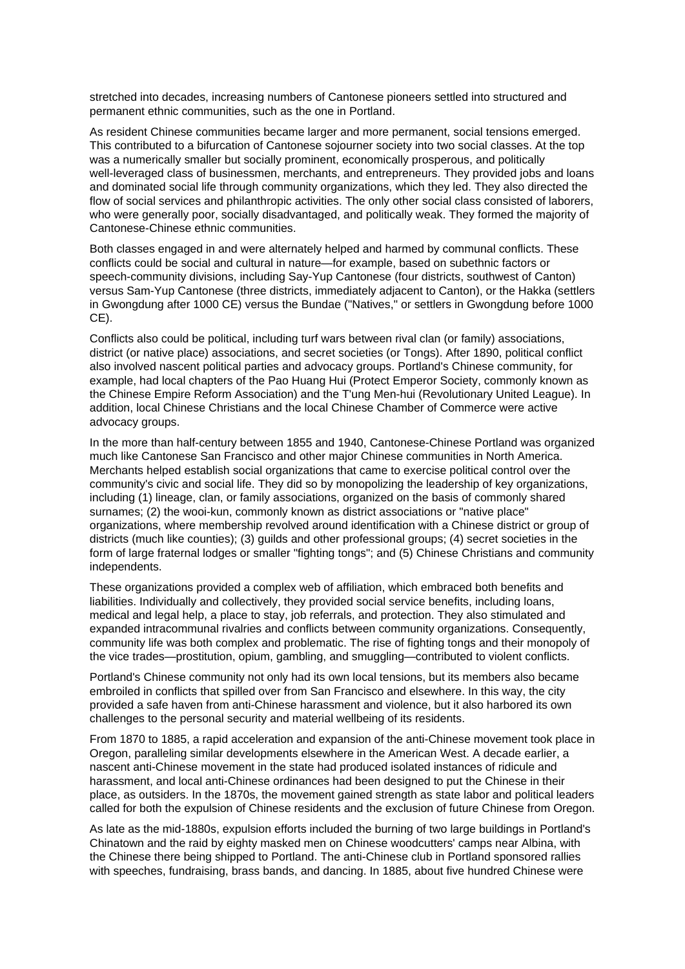stretched into decades, increasing numbers of Cantonese pioneers settled into structured and permanent ethnic communities, such as the one in Portland.

As resident Chinese communities became larger and more permanent, social tensions emerged. This contributed to a bifurcation of Cantonese sojourner society into two social classes. At the top was a numerically smaller but socially prominent, economically prosperous, and politically well-leveraged class of businessmen, merchants, and entrepreneurs. They provided jobs and loans and dominated social life through community organizations, which they led. They also directed the flow of social services and philanthropic activities. The only other social class consisted of laborers, who were generally poor, socially disadvantaged, and politically weak. They formed the majority of Cantonese-Chinese ethnic communities.

Both classes engaged in and were alternately helped and harmed by communal conflicts. These conflicts could be social and cultural in nature—for example, based on subethnic factors or speech-community divisions, including Say-Yup Cantonese (four districts, southwest of Canton) versus Sam-Yup Cantonese (three districts, immediately adjacent to Canton), or the Hakka (settlers in Gwongdung after 1000 CE) versus the Bundae ("Natives," or settlers in Gwongdung before 1000 CE).

Conflicts also could be political, including turf wars between rival clan (or family) associations, district (or native place) associations, and secret societies (or Tongs). After 1890, political conflict also involved nascent political parties and advocacy groups. Portland's Chinese community, for example, had local chapters of the Pao Huang Hui (Protect Emperor Society, commonly known as the Chinese Empire Reform Association) and the T'ung Men-hui (Revolutionary United League). In addition, local Chinese Christians and the local Chinese Chamber of Commerce were active advocacy groups.

In the more than half-century between 1855 and 1940, Cantonese-Chinese Portland was organized much like Cantonese San Francisco and other major Chinese communities in North America. Merchants helped establish social organizations that came to exercise political control over the community's civic and social life. They did so by monopolizing the leadership of key organizations, including (1) lineage, clan, or family associations, organized on the basis of commonly shared surnames; (2) the wooi-kun, commonly known as district associations or "native place" organizations, where membership revolved around identification with a Chinese district or group of districts (much like counties); (3) guilds and other professional groups; (4) secret societies in the form of large fraternal lodges or smaller "fighting tongs"; and (5) Chinese Christians and community independents.

These organizations provided a complex web of affiliation, which embraced both benefits and liabilities. Individually and collectively, they provided social service benefits, including loans, medical and legal help, a place to stay, job referrals, and protection. They also stimulated and expanded intracommunal rivalries and conflicts between community organizations. Consequently, community life was both complex and problematic. The rise of fighting tongs and their monopoly of the vice trades—prostitution, opium, gambling, and smuggling—contributed to violent conflicts.

Portland's Chinese community not only had its own local tensions, but its members also became embroiled in conflicts that spilled over from San Francisco and elsewhere. In this way, the city provided a safe haven from anti-Chinese harassment and violence, but it also harbored its own challenges to the personal security and material wellbeing of its residents.

From 1870 to 1885, a rapid acceleration and expansion of the anti-Chinese movement took place in Oregon, paralleling similar developments elsewhere in the American West. A decade earlier, a nascent anti-Chinese movement in the state had produced isolated instances of ridicule and harassment, and local anti-Chinese ordinances had been designed to put the Chinese in their place, as outsiders. In the 1870s, the movement gained strength as state labor and political leaders called for both the expulsion of Chinese residents and the exclusion of future Chinese from Oregon.

As late as the mid-1880s, expulsion efforts included the burning of two large buildings in Portland's Chinatown and the raid by eighty masked men on Chinese woodcutters' camps near Albina, with the Chinese there being shipped to Portland. The anti-Chinese club in Portland sponsored rallies with speeches, fundraising, brass bands, and dancing. In 1885, about five hundred Chinese were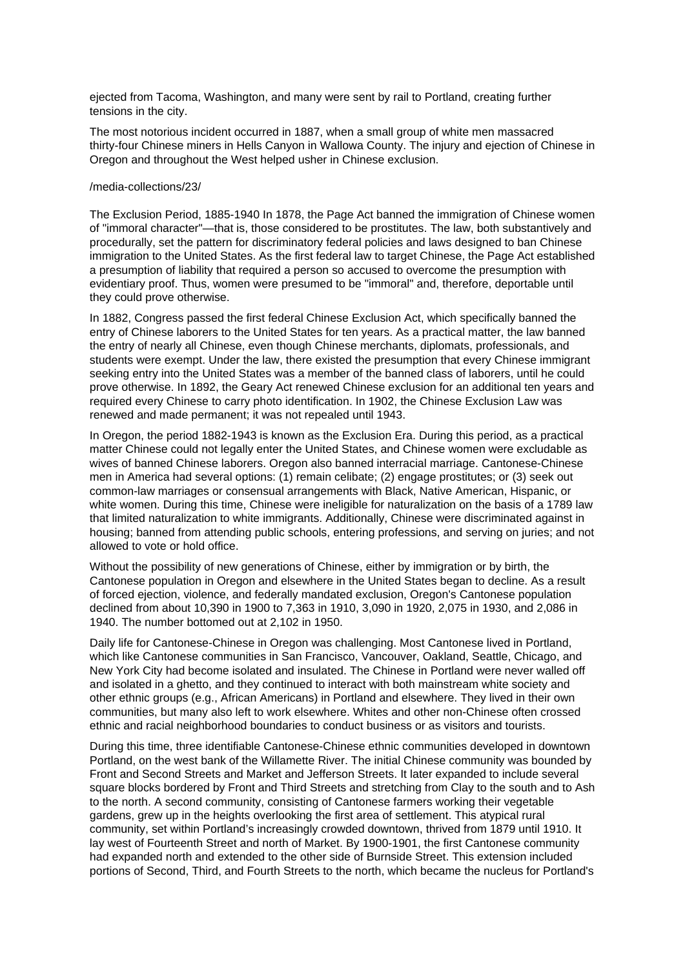ejected from Tacoma, Washington, and many were sent by rail to Portland, creating further tensions in the city.

The most notorious incident occurred in 1887, when a small group of white men massacred thirty-four Chinese miners in Hells Canyon in Wallowa County. The injury and ejection of Chinese in Oregon and throughout the West helped usher in Chinese exclusion.

#### /media-collections/23/

The Exclusion Period, 1885-1940 In 1878, the Page Act banned the immigration of Chinese women of "immoral character"—that is, those considered to be prostitutes. The law, both substantively and procedurally, set the pattern for discriminatory federal policies and laws designed to ban Chinese immigration to the United States. As the first federal law to target Chinese, the Page Act established a presumption of liability that required a person so accused to overcome the presumption with evidentiary proof. Thus, women were presumed to be "immoral" and, therefore, deportable until they could prove otherwise.

In 1882, Congress passed the first federal Chinese Exclusion Act, which specifically banned the entry of Chinese laborers to the United States for ten years. As a practical matter, the law banned the entry of nearly all Chinese, even though Chinese merchants, diplomats, professionals, and students were exempt. Under the law, there existed the presumption that every Chinese immigrant seeking entry into the United States was a member of the banned class of laborers, until he could prove otherwise. In 1892, the Geary Act renewed Chinese exclusion for an additional ten years and required every Chinese to carry photo identification. In 1902, the Chinese Exclusion Law was renewed and made permanent; it was not repealed until 1943.

In Oregon, the period 1882-1943 is known as the Exclusion Era. During this period, as a practical matter Chinese could not legally enter the United States, and Chinese women were excludable as wives of banned Chinese laborers. Oregon also banned interracial marriage. Cantonese-Chinese men in America had several options: (1) remain celibate; (2) engage prostitutes; or (3) seek out common-law marriages or consensual arrangements with Black, Native American, Hispanic, or white women. During this time, Chinese were ineligible for naturalization on the basis of a 1789 law that limited naturalization to white immigrants. Additionally, Chinese were discriminated against in housing; banned from attending public schools, entering professions, and serving on juries; and not allowed to vote or hold office.

Without the possibility of new generations of Chinese, either by immigration or by birth, the Cantonese population in Oregon and elsewhere in the United States began to decline. As a result of forced ejection, violence, and federally mandated exclusion, Oregon's Cantonese population declined from about 10,390 in 1900 to 7,363 in 1910, 3,090 in 1920, 2,075 in 1930, and 2,086 in 1940. The number bottomed out at 2,102 in 1950.

Daily life for Cantonese-Chinese in Oregon was challenging. Most Cantonese lived in Portland, which like Cantonese communities in San Francisco, Vancouver, Oakland, Seattle, Chicago, and New York City had become isolated and insulated. The Chinese in Portland were never walled off and isolated in a ghetto, and they continued to interact with both mainstream white society and other ethnic groups (e.g., African Americans) in Portland and elsewhere. They lived in their own communities, but many also left to work elsewhere. Whites and other non-Chinese often crossed ethnic and racial neighborhood boundaries to conduct business or as visitors and tourists.

During this time, three identifiable Cantonese-Chinese ethnic communities developed in downtown Portland, on the west bank of the Willamette River. The initial Chinese community was bounded by Front and Second Streets and Market and Jefferson Streets. It later expanded to include several square blocks bordered by Front and Third Streets and stretching from Clay to the south and to Ash to the north. A second community, consisting of Cantonese farmers working their vegetable gardens, grew up in the heights overlooking the first area of settlement. This atypical rural community, set within Portland's increasingly crowded downtown, thrived from 1879 until 1910. It lay west of Fourteenth Street and north of Market. By 1900-1901, the first Cantonese community had expanded north and extended to the other side of Burnside Street. This extension included portions of Second, Third, and Fourth Streets to the north, which became the nucleus for Portland's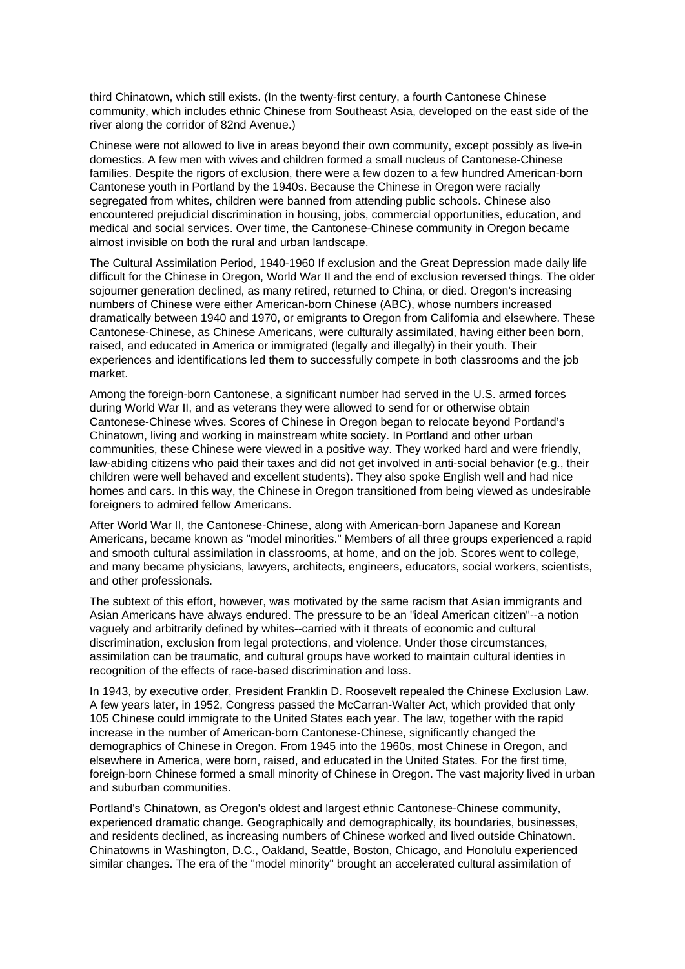third Chinatown, which still exists. (In the twenty-first century, a fourth Cantonese Chinese community, which includes ethnic Chinese from Southeast Asia, developed on the east side of the river along the corridor of 82nd Avenue.)

Chinese were not allowed to live in areas beyond their own community, except possibly as live-in domestics. A few men with wives and children formed a small nucleus of Cantonese-Chinese families. Despite the rigors of exclusion, there were a few dozen to a few hundred American-born Cantonese youth in Portland by the 1940s. Because the Chinese in Oregon were racially segregated from whites, children were banned from attending public schools. Chinese also encountered prejudicial discrimination in housing, jobs, commercial opportunities, education, and medical and social services. Over time, the Cantonese-Chinese community in Oregon became almost invisible on both the rural and urban landscape.

The Cultural Assimilation Period, 1940-1960 If exclusion and the Great Depression made daily life difficult for the Chinese in Oregon, World War II and the end of exclusion reversed things. The older sojourner generation declined, as many retired, returned to China, or died. Oregon's increasing numbers of Chinese were either American-born Chinese (ABC), whose numbers increased dramatically between 1940 and 1970, or emigrants to Oregon from California and elsewhere. These Cantonese-Chinese, as Chinese Americans, were culturally assimilated, having either been born, raised, and educated in America or immigrated (legally and illegally) in their youth. Their experiences and identifications led them to successfully compete in both classrooms and the job market.

Among the foreign-born Cantonese, a significant number had served in the U.S. armed forces during World War II, and as veterans they were allowed to send for or otherwise obtain Cantonese-Chinese wives. Scores of Chinese in Oregon began to relocate beyond Portland's Chinatown, living and working in mainstream white society. In Portland and other urban communities, these Chinese were viewed in a positive way. They worked hard and were friendly, law-abiding citizens who paid their taxes and did not get involved in anti-social behavior (e.g., their children were well behaved and excellent students). They also spoke English well and had nice homes and cars. In this way, the Chinese in Oregon transitioned from being viewed as undesirable foreigners to admired fellow Americans.

After World War II, the Cantonese-Chinese, along with American-born Japanese and Korean Americans, became known as "model minorities." Members of all three groups experienced a rapid and smooth cultural assimilation in classrooms, at home, and on the job. Scores went to college, and many became physicians, lawyers, architects, engineers, educators, social workers, scientists, and other professionals.

The subtext of this effort, however, was motivated by the same racism that Asian immigrants and Asian Americans have always endured. The pressure to be an "ideal American citizen"--a notion vaguely and arbitrarily defined by whites--carried with it threats of economic and cultural discrimination, exclusion from legal protections, and violence. Under those circumstances, assimilation can be traumatic, and cultural groups have worked to maintain cultural identies in recognition of the effects of race-based discrimination and loss.

In 1943, by executive order, President Franklin D. Roosevelt repealed the Chinese Exclusion Law. A few years later, in 1952, Congress passed the McCarran-Walter Act, which provided that only 105 Chinese could immigrate to the United States each year. The law, together with the rapid increase in the number of American-born Cantonese-Chinese, significantly changed the demographics of Chinese in Oregon. From 1945 into the 1960s, most Chinese in Oregon, and elsewhere in America, were born, raised, and educated in the United States. For the first time, foreign-born Chinese formed a small minority of Chinese in Oregon. The vast majority lived in urban and suburban communities.

Portland's Chinatown, as Oregon's oldest and largest ethnic Cantonese-Chinese community, experienced dramatic change. Geographically and demographically, its boundaries, businesses, and residents declined, as increasing numbers of Chinese worked and lived outside Chinatown. Chinatowns in Washington, D.C., Oakland, Seattle, Boston, Chicago, and Honolulu experienced similar changes. The era of the "model minority" brought an accelerated cultural assimilation of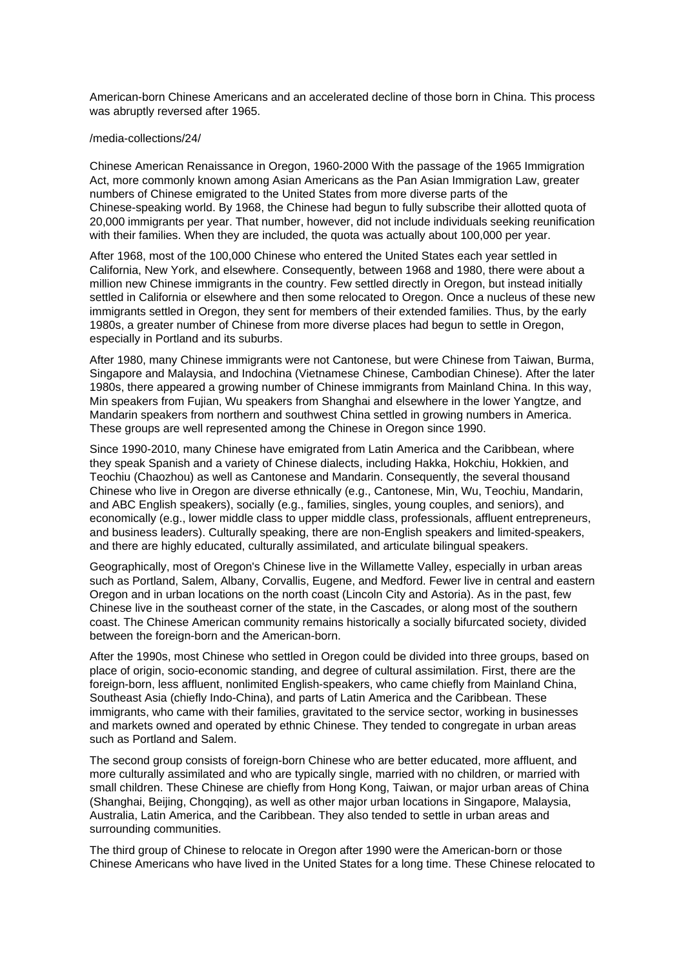American-born Chinese Americans and an accelerated decline of those born in China. This process was abruptly reversed after 1965.

#### /media-collections/24/

Chinese American Renaissance in Oregon, 1960-2000 With the passage of the 1965 Immigration Act, more commonly known among Asian Americans as the Pan Asian Immigration Law, greater numbers of Chinese emigrated to the United States from more diverse parts of the Chinese-speaking world. By 1968, the Chinese had begun to fully subscribe their allotted quota of 20,000 immigrants per year. That number, however, did not include individuals seeking reunification with their families. When they are included, the quota was actually about 100,000 per year.

After 1968, most of the 100,000 Chinese who entered the United States each year settled in California, New York, and elsewhere. Consequently, between 1968 and 1980, there were about a million new Chinese immigrants in the country. Few settled directly in Oregon, but instead initially settled in California or elsewhere and then some relocated to Oregon. Once a nucleus of these new immigrants settled in Oregon, they sent for members of their extended families. Thus, by the early 1980s, a greater number of Chinese from more diverse places had begun to settle in Oregon, especially in Portland and its suburbs.

After 1980, many Chinese immigrants were not Cantonese, but were Chinese from Taiwan, Burma, Singapore and Malaysia, and Indochina (Vietnamese Chinese, Cambodian Chinese). After the later 1980s, there appeared a growing number of Chinese immigrants from Mainland China. In this way, Min speakers from Fujian, Wu speakers from Shanghai and elsewhere in the lower Yangtze, and Mandarin speakers from northern and southwest China settled in growing numbers in America. These groups are well represented among the Chinese in Oregon since 1990.

Since 1990-2010, many Chinese have emigrated from Latin America and the Caribbean, where they speak Spanish and a variety of Chinese dialects, including Hakka, Hokchiu, Hokkien, and Teochiu (Chaozhou) as well as Cantonese and Mandarin. Consequently, the several thousand Chinese who live in Oregon are diverse ethnically (e.g., Cantonese, Min, Wu, Teochiu, Mandarin, and ABC English speakers), socially (e.g., families, singles, young couples, and seniors), and economically (e.g., lower middle class to upper middle class, professionals, affluent entrepreneurs, and business leaders). Culturally speaking, there are non-English speakers and limited-speakers, and there are highly educated, culturally assimilated, and articulate bilingual speakers.

Geographically, most of Oregon's Chinese live in the Willamette Valley, especially in urban areas such as Portland, Salem, Albany, Corvallis, Eugene, and Medford. Fewer live in central and eastern Oregon and in urban locations on the north coast (Lincoln City and Astoria). As in the past, few Chinese live in the southeast corner of the state, in the Cascades, or along most of the southern coast. The Chinese American community remains historically a socially bifurcated society, divided between the foreign-born and the American-born.

After the 1990s, most Chinese who settled in Oregon could be divided into three groups, based on place of origin, socio-economic standing, and degree of cultural assimilation. First, there are the foreign-born, less affluent, nonlimited English-speakers, who came chiefly from Mainland China, Southeast Asia (chiefly Indo-China), and parts of Latin America and the Caribbean. These immigrants, who came with their families, gravitated to the service sector, working in businesses and markets owned and operated by ethnic Chinese. They tended to congregate in urban areas such as Portland and Salem.

The second group consists of foreign-born Chinese who are better educated, more affluent, and more culturally assimilated and who are typically single, married with no children, or married with small children. These Chinese are chiefly from Hong Kong, Taiwan, or major urban areas of China (Shanghai, Beijing, Chongqing), as well as other major urban locations in Singapore, Malaysia, Australia, Latin America, and the Caribbean. They also tended to settle in urban areas and surrounding communities.

The third group of Chinese to relocate in Oregon after 1990 were the American-born or those Chinese Americans who have lived in the United States for a long time. These Chinese relocated to